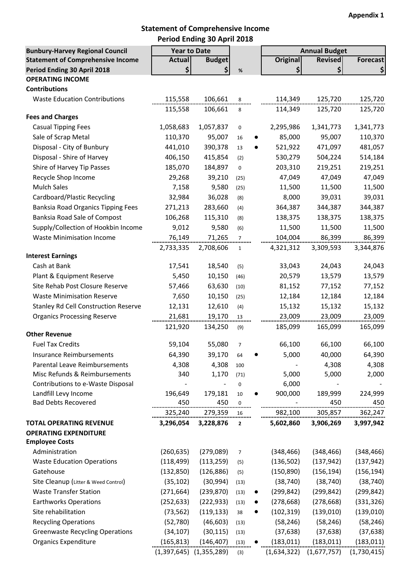#### **Statement of Comprehensive Income Period Ending 30 April 2018**

| <b>Bunbury-Harvey Regional Council</b>      | <b>Year to Date</b>         |               |                |           |                 | <b>Annual Budget</b> |             |
|---------------------------------------------|-----------------------------|---------------|----------------|-----------|-----------------|----------------------|-------------|
| <b>Statement of Comprehensive Income</b>    | <b>Actual</b>               | <b>Budget</b> |                |           | <b>Original</b> | <b>Revised</b>       | Forecast    |
| Period Ending 30 April 2018                 | \$                          | \$            | $\%$           |           | \$              | \$                   | \$          |
| <b>OPERATING INCOME</b>                     |                             |               |                |           |                 |                      |             |
| <b>Contributions</b>                        |                             |               |                |           |                 |                      |             |
| <b>Waste Education Contributions</b>        | 115,558                     | 106,661       | 8              |           | 114,349         | 125,720              | 125,720     |
| <b>Fees and Charges</b>                     | 115,558                     | 106,661       | 8              |           | 114,349         | 125,720              | 125,720     |
|                                             |                             |               |                |           |                 |                      |             |
| <b>Casual Tipping Fees</b>                  | 1,058,683                   | 1,057,837     | $\pmb{0}$      |           | 2,295,986       | 1,341,773            | 1,341,773   |
| Sale of Scrap Metal                         | 110,370                     | 95,007        | 16             |           | 85,000          | 95,007               | 110,370     |
| Disposal - City of Bunbury                  | 441,010                     | 390,378       | 13             |           | 521,922         | 471,097              | 481,057     |
| Disposal - Shire of Harvey                  | 406,150                     | 415,854       | (2)            |           | 530,279         | 504,224              | 514,184     |
| Shire of Harvey Tip Passes                  | 185,070                     | 184,897       | $\mathbf 0$    |           | 203,310         | 219,251              | 219,251     |
| Recycle Shop Income                         | 29,268                      | 39,210        | (25)           |           | 47,049          | 47,049               | 47,049      |
| <b>Mulch Sales</b>                          | 7,158                       | 9,580         | (25)           |           | 11,500          | 11,500               | 11,500      |
| Cardboard/Plastic Recycling                 | 32,984                      | 36,028        | (8)            |           | 8,000           | 39,031               | 39,031      |
| <b>Banksia Road Organics Tipping Fees</b>   | 271,213                     | 283,660       | (4)            |           | 364,387         | 344,387              | 344,387     |
| Banksia Road Sale of Compost                | 106,268                     | 115,310       | (8)            |           | 138,375         | 138,375              | 138,375     |
| Supply/Collection of Hookbin Income         | 9,012                       | 9,580         | (6)            |           | 11,500          | 11,500               | 11,500      |
| <b>Waste Minimisation Income</b>            | 76,149                      | 71,265        | $\overline{7}$ |           | 104,004         | 86,399               | 86,399      |
|                                             | 2,733,335                   | 2,708,606     | $\mathbf{1}$   |           | 4,321,312       | 3,309,593            | 3,344,876   |
| <b>Interest Earnings</b>                    |                             |               |                |           |                 |                      |             |
| Cash at Bank                                | 17,541                      | 18,540        | (5)            |           | 33,043          | 24,043               | 24,043      |
| Plant & Equipment Reserve                   | 5,450                       | 10,150        | (46)           |           | 20,579          | 13,579               | 13,579      |
| Site Rehab Post Closure Reserve             | 57,466                      | 63,630        | (10)           |           | 81,152          | 77,152               | 77,152      |
| <b>Waste Minimisation Reserve</b>           | 7,650                       | 10,150        | (25)           |           | 12,184          | 12,184               | 12,184      |
| <b>Stanley Rd Cell Construction Reserve</b> | 12,131                      | 12,610        | (4)            |           | 15,132          | 15,132               | 15,132      |
| <b>Organics Processing Reserve</b>          | 21,681                      | 19,170        | 13             |           | 23,009          | 23,009               | 23,009      |
|                                             | 121,920                     | 134,250       | (9)            |           | 185,099         | 165,099              | 165,099     |
| <b>Other Revenue</b>                        |                             |               |                |           |                 |                      |             |
| <b>Fuel Tax Credits</b>                     | 59,104                      | 55,080        | $\overline{7}$ |           | 66,100          | 66,100               | 66,100      |
| Insurance Reimbursements                    | 64,390                      | 39,170        | 64             |           | 5,000           | 40,000               | 64,390      |
| Parental Leave Reimbursements               | 4,308                       | 4,308         | 100            |           |                 | 4,308                | 4,308       |
| Misc Refunds & Reimbursements               | 340                         | 1,170         | (71)           |           | 5,000           | 5,000                | 2,000       |
| Contributions to e-Waste Disposal           |                             |               | 0              |           | 6,000           |                      |             |
| Landfill Levy Income                        | 196,649                     | 179,181       | 10             |           | 900,000         | 189,999              | 224,999     |
| <b>Bad Debts Recovered</b>                  | 450                         | 450           | 0<br>          |           |                 | 450                  | 450         |
|                                             | 325,240                     | 279,359       | 16             |           | 982,100         | 305,857              | 362,247     |
| <b>TOTAL OPERATING REVENUE</b>              | 3,296,054                   | 3,228,876     | $\overline{2}$ |           | 5,602,860       | 3,906,269            | 3,997,942   |
| <b>OPERATING EXPENDITURE</b>                |                             |               |                |           |                 |                      |             |
| <b>Employee Costs</b>                       |                             |               |                |           |                 |                      |             |
| Administration                              | (260, 635)                  | (279,089)     | $\overline{7}$ |           | (348, 466)      | (348, 466)           | (348, 466)  |
| <b>Waste Education Operations</b>           | (118, 499)                  | (113, 259)    | (5)            |           | (136, 502)      | (137, 942)           | (137, 942)  |
| Gatehouse                                   | (132, 850)                  | (126, 886)    | (5)            |           | (150, 890)      | (156, 194)           | (156, 194)  |
| Site Cleanup (Litter & Weed Control)        | (35, 102)                   | (30, 994)     | (13)           |           | (38, 740)       | (38, 740)            | (38, 740)   |
| <b>Waste Transfer Station</b>               | (271, 664)                  | (239, 870)    | (13)           | $\bullet$ | (299, 842)      | (299, 842)           | (299, 842)  |
| <b>Earthworks Operations</b>                | (252, 633)                  | (222, 933)    | (13)           |           | (278, 668)      | (278, 668)           | (331, 326)  |
| Site rehabilitation                         | (73, 562)                   | (119, 133)    | 38             | $\bullet$ | (102, 319)      | (139,010)            | (139, 010)  |
| <b>Recycling Operations</b>                 | (52, 780)                   | (46, 603)     | (13)           |           | (58, 246)       | (58, 246)            | (58, 246)   |
| <b>Greenwaste Recycling Operations</b>      | (34, 107)                   | (30, 115)     | (13)           |           | (37, 638)       | (37, 638)            | (37, 638)   |
| <b>Organics Expenditure</b>                 | (165, 813)                  | (146, 407)    | (13)           |           | (183, 011)      | (183, 011)           | (183, 011)  |
|                                             | $(1,397,645)$ $(1,355,289)$ |               | (3)            |           | (1,634,322)     | (1,677,757)          | (1,730,415) |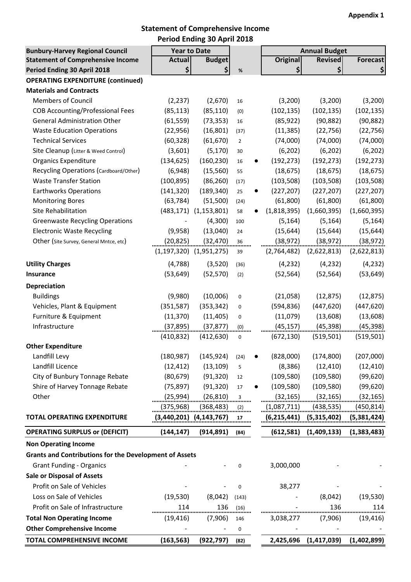#### **Statement of Comprehensive Income Period Ending 30 April 2018**

| <b>Bunbury-Harvey Regional Council</b>                        | <b>Year to Date</b> |                              |                |           |                    | <b>Annual Budget</b> |                 |
|---------------------------------------------------------------|---------------------|------------------------------|----------------|-----------|--------------------|----------------------|-----------------|
| <b>Statement of Comprehensive Income</b>                      | <b>Actual</b>       | <b>Budget</b>                |                |           | <b>Original</b>    | <b>Revised</b>       | <b>Forecast</b> |
| Period Ending 30 April 2018                                   | \$                  | \$                           | $\%$           |           | \$                 | \$                   | \$              |
| <b>OPERATING EXPENDITURE (continued)</b>                      |                     |                              |                |           |                    |                      |                 |
| <b>Materials and Contracts</b>                                |                     |                              |                |           |                    |                      |                 |
| <b>Members of Council</b>                                     | (2, 237)            | (2,670)                      | 16             |           | (3,200)            | (3,200)              | (3,200)         |
| <b>COB Accounting/Professional Fees</b>                       | (85, 113)           | (85, 110)                    | (0)            |           | (102, 135)         | (102, 135)           | (102, 135)      |
| <b>General Administration Other</b>                           | (61, 559)           | (73, 353)                    | 16             |           | (85, 922)          | (90, 882)            | (90, 882)       |
| <b>Waste Education Operations</b>                             | (22, 956)           | (16, 801)                    | (37)           |           | (11, 385)          | (22, 756)            | (22, 756)       |
| <b>Technical Services</b>                                     | (60, 328)           | (61, 670)                    | $\overline{2}$ |           | (74,000)           | (74,000)             | (74,000)        |
| Site Cleanup (Litter & Weed Control)                          | (3,601)             | (5, 170)                     | 30             |           | (6, 202)           | (6, 202)             | (6, 202)        |
| <b>Organics Expenditure</b>                                   | (134, 625)          | (160, 230)                   | 16             | $\bullet$ | (192, 273)         | (192, 273)           | (192, 273)      |
| Recycling Operations (Cardboard/Other)                        | (6,948)             | (15, 560)                    | 55             |           | (18, 675)          | (18, 675)            | (18, 675)       |
| <b>Waste Transfer Station</b>                                 | (100, 895)          | (86, 260)                    | (17)           |           | (103, 508)         | (103, 508)           | (103, 508)      |
| <b>Earthworks Operations</b>                                  | (141, 320)          | (189, 340)                   | 25             |           | (227, 207)         | (227, 207)           | (227, 207)      |
| <b>Monitoring Bores</b>                                       | (63, 784)           | (51,500)                     | (24)           |           | (61, 800)          | (61,800)             | (61, 800)       |
| Site Rehabilitation                                           |                     | $(483, 171)$ $(1, 153, 801)$ | 58             |           | (1,818,395)        | (1,660,395)          | (1,660,395)     |
| <b>Greenwaste Recycling Operations</b>                        |                     | (4,300)                      | 100            |           | (5, 164)           | (5, 164)             | (5, 164)        |
| <b>Electronic Waste Recycling</b>                             | (9,958)             | (13,040)                     | 24             |           | (15, 644)          | (15, 644)            | (15, 644)       |
| Other (Site Survey, General Mntce, etc)                       | (20, 825)           | (32, 470)                    | 36             |           | (38, 972)          | (38, 972)            | (38, 972)       |
|                                                               |                     | $(1,197,320)$ $(1,951,275)$  | 39             |           | (2,764,482)        | (2,622,813)          | (2,622,813)     |
| <b>Utility Charges</b>                                        | (4, 788)            | (3,520)                      | (36)           |           | (4, 232)           | (4, 232)             | (4, 232)        |
| <b>Insurance</b>                                              | (53, 649)           | (52, 570)                    | (2)            |           | (52, 564)          | (52, 564)            | (53, 649)       |
| Depreciation                                                  |                     |                              |                |           |                    |                      |                 |
| <b>Buildings</b>                                              | (9,980)             | (10,006)                     | 0              |           | (21,058)           | (12, 875)            | (12, 875)       |
| Vehicles, Plant & Equipment                                   | (351, 587)          | (353, 342)                   | 0              |           | (594, 836)         | (447, 620)           | (447, 620)      |
| Furniture & Equipment                                         | (11, 370)           | (11, 405)                    | 0              |           | (11,079)           | (13,608)             | (13,608)        |
| Infrastructure                                                | (37, 895)           | (37, 877)                    | (0)            |           | (45, 157)          | (45, 398)            | (45, 398)       |
|                                                               | (410, 832)          | (412, 630)                   | 0              |           | (672, 130)         | (519, 501)           | (519, 501)      |
| <b>Other Expenditure</b>                                      |                     |                              |                |           |                    |                      |                 |
| Landfill Levy                                                 | (180, 987)          | (145, 924)                   | (24)           |           | (828,000)          | (174, 800)           | (207,000)       |
| Landfill Licence                                              | (12, 412)           | (13, 109)                    | 5              |           | (8, 386)           | (12, 410)            | (12, 410)       |
| City of Bunbury Tonnage Rebate                                | (80, 679)           | (91, 320)                    | 12             |           | (109, 580)         | (109, 580)           | (99, 620)       |
| Shire of Harvey Tonnage Rebate                                | (75, 897)           | (91, 320)                    | 17             |           | (109, 580)         | (109, 580)           | (99, 620)       |
| Other                                                         | (25, 994)           | (26, 810)                    | 3              |           | (32, 165)          | (32, 165)            | (32, 165)       |
|                                                               | (375,968)           | (368, 483)                   | (2)            |           | <u>(1,087,711)</u> | (438, 535)           | (450,814)       |
| <b>TOTAL OPERATING EXPENDITURE</b>                            |                     | (3,440,201) (4,143,767)      | 17             |           | (6, 215, 441)      | (5,315,402)          | (5, 381, 424)   |
| <b>OPERATING SURPLUS or (DEFICIT)</b>                         | (144, 147)          | (914, 891)                   | (84)           |           | (612,581)          | (1,409,133)          | (1,383,483)     |
| <b>Non Operating Income</b>                                   |                     |                              |                |           |                    |                      |                 |
| <b>Grants and Contributions for the Development of Assets</b> |                     |                              |                |           |                    |                      |                 |
| <b>Grant Funding - Organics</b>                               |                     |                              | $\mathbf 0$    |           | 3,000,000          |                      |                 |
| <b>Sale or Disposal of Assets</b>                             |                     |                              |                |           |                    |                      |                 |
| Profit on Sale of Vehicles                                    |                     |                              |                |           | 38,277             |                      |                 |
|                                                               |                     |                              | $\mathbf 0$    |           |                    |                      |                 |
| Loss on Sale of Vehicles                                      | (19, 530)           | (8,042)                      | (143)          |           |                    | (8,042)              | (19, 530)       |
| Profit on Sale of Infrastructure                              | 114                 | 136                          | (16)           |           |                    | 136                  | 114             |
| <b>Total Non Operating Income</b>                             | (19, 416)           | (7,906)                      | 146            |           | 3,038,277          | (7,906)              | (19, 416)       |
| <b>Other Comprehensive Income</b>                             |                     | $\blacksquare$               | 0              |           |                    |                      |                 |
| <b>TOTAL COMPREHENSIVE INCOME</b>                             | (163, 563)          | (922, 797)                   | (82)           |           | 2,425,696          | (1, 417, 039)        | (1,402,899)     |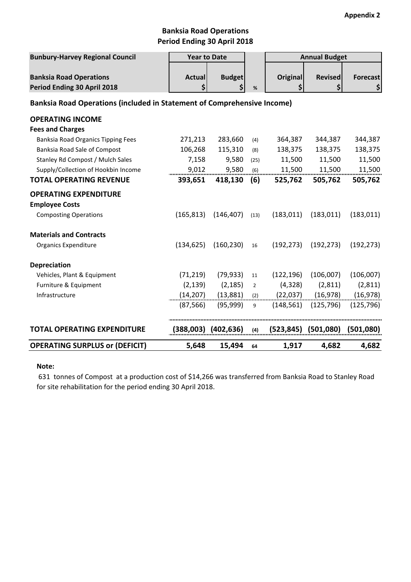# **Banksia Road Operations Period Ending 30 April 2018**

| <b>Bunbury-Harvey Regional Council</b>                                         | <b>Year to Date</b> |                     |                | <b>Annual Budget</b>  |                           |                       |  |  |
|--------------------------------------------------------------------------------|---------------------|---------------------|----------------|-----------------------|---------------------------|-----------------------|--|--|
| <b>Banksia Road Operations</b><br>Period Ending 30 April 2018                  | <b>Actual</b><br>Ś  | <b>Budget</b><br>\$ | %              | <b>Original</b><br>\$ | <b>Revised</b><br>\$      | <b>Forecast</b><br>\$ |  |  |
| <b>Banksia Road Operations (included in Statement of Comprehensive Income)</b> |                     |                     |                |                       |                           |                       |  |  |
| <b>OPERATING INCOME</b>                                                        |                     |                     |                |                       |                           |                       |  |  |
| <b>Fees and Charges</b>                                                        |                     |                     |                |                       |                           |                       |  |  |
| Banksia Road Organics Tipping Fees                                             | 271,213             | 283,660             | (4)            | 364,387               | 344,387                   | 344,387               |  |  |
| Banksia Road Sale of Compost                                                   | 106,268             | 115,310             | (8)            | 138,375               | 138,375                   | 138,375               |  |  |
| Stanley Rd Compost / Mulch Sales                                               | 7,158               | 9,580               | (25)           | 11,500                | 11,500                    | 11,500                |  |  |
| Supply/Collection of Hookbin Income                                            | 9,012               | 9,580               | (6)            | 11,500                | 11,500                    | 11,500                |  |  |
| <b>TOTAL OPERATING REVENUE</b>                                                 | 393,651             | 418,130             | (6)            | 525,762               | 505,762                   | 505,762               |  |  |
| <b>OPERATING EXPENDITURE</b>                                                   |                     |                     |                |                       |                           |                       |  |  |
| <b>Employee Costs</b>                                                          |                     |                     |                |                       |                           |                       |  |  |
| <b>Composting Operations</b>                                                   | (165, 813)          | (146, 407)          | (13)           | (183, 011)            | (183, 011)                | (183, 011)            |  |  |
| <b>Materials and Contracts</b>                                                 |                     |                     |                |                       |                           |                       |  |  |
| <b>Organics Expenditure</b>                                                    | (134, 625)          | (160, 230)          | 16             | (192, 273)            | (192, 273)                | (192, 273)            |  |  |
| <b>Depreciation</b>                                                            |                     |                     |                |                       |                           |                       |  |  |
| Vehicles, Plant & Equipment                                                    | (71, 219)           | (79, 933)           | 11             | (122, 196)            | (106,007)                 | (106,007)             |  |  |
| Furniture & Equipment                                                          | (2, 139)            | (2, 185)            | $\overline{2}$ | (4, 328)              | (2,811)                   | (2,811)               |  |  |
| Infrastructure                                                                 | (14, 207)           | (13,881)            | (2)            | (22,037)              | (16, 978)                 | (16, 978)             |  |  |
|                                                                                | (87, 566)           | (95, 999)           | 9              | (148, 561)            | (125, 796)                | (125, 796)            |  |  |
| <b>TOTAL OPERATING EXPENDITURE</b>                                             |                     | (388,003) (402,636) | (4)            |                       | $(523, 845)$ $(501, 080)$ | (501,080)             |  |  |
| <b>OPERATING SURPLUS or (DEFICIT)</b>                                          | 5,648               | 15,494              | 64             | 1,917                 | 4,682                     | 4,682                 |  |  |

#### **Note:**

 631 tonnes of Compost at a production cost of \$14,266 was transferred from Banksia Road to Stanley Road for site rehabilitation for the period ending 30 April 2018.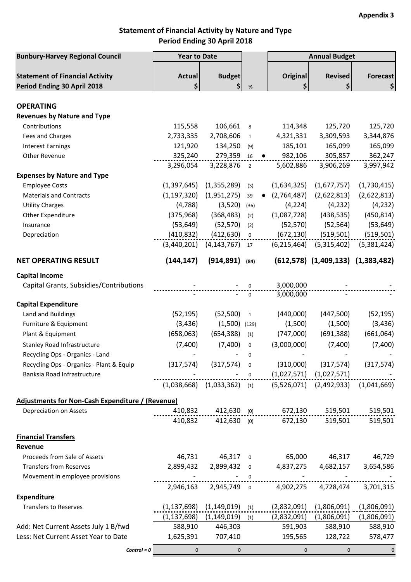# **Statement of Financial Activity by Nature and Type Period Ending 30 April 2018**

| <b>Bunbury-Harvey Regional Council</b>           | <b>Year to Date</b>                                                 |                                   |                | <b>Annual Budget</b>                                                      |                                         |                 |
|--------------------------------------------------|---------------------------------------------------------------------|-----------------------------------|----------------|---------------------------------------------------------------------------|-----------------------------------------|-----------------|
|                                                  |                                                                     |                                   |                |                                                                           |                                         |                 |
| <b>Statement of Financial Activity</b>           | <b>Actual</b>                                                       | <b>Budget</b>                     |                | Original                                                                  | <b>Revised</b>                          | <b>Forecast</b> |
| Period Ending 30 April 2018                      | \$                                                                  | \$                                | $\%$           | \$                                                                        | \$                                      | \$              |
| <b>OPERATING</b>                                 |                                                                     |                                   |                |                                                                           |                                         |                 |
| <b>Revenues by Nature and Type</b>               |                                                                     |                                   |                |                                                                           |                                         |                 |
| Contributions                                    | 115,558                                                             | 106,661                           | 8              | 114,348                                                                   | 125,720                                 | 125,720         |
| Fees and Charges                                 | 2,733,335                                                           | 2,708,606                         | $\mathbf{1}$   | 4,321,331                                                                 | 3,309,593                               | 3,344,876       |
| <b>Interest Earnings</b>                         | 121,920                                                             | 134,250                           | (9)            | 185,101                                                                   | 165,099                                 | 165,099         |
| Other Revenue                                    | 325,240                                                             | 279,359                           | 16             | 982,106                                                                   | 305,857                                 | 362,247         |
|                                                  | 3,296,054                                                           | 3,228,876                         | $\overline{2}$ | 5,602,886                                                                 | 3,906,269                               | 3,997,942       |
| <b>Expenses by Nature and Type</b>               |                                                                     |                                   |                |                                                                           |                                         |                 |
| <b>Employee Costs</b>                            | (1, 397, 645)                                                       | (1,355,289)                       | (3)            | (1,634,325)                                                               | (1,677,757)                             | (1,730,415)     |
| <b>Materials and Contracts</b>                   | (1, 197, 320)                                                       | (1,951,275)                       | 39             | (2,764,487)                                                               | (2,622,813)                             | (2,622,813)     |
| <b>Utility Charges</b>                           | (4,788)                                                             | (3,520)                           | (36)           | (4, 224)                                                                  | (4, 232)                                | (4, 232)        |
| Other Expenditure                                | (375,968)                                                           | (368, 483)                        | (2)            | (1,087,728)                                                               | (438, 535)                              | (450, 814)      |
| Insurance                                        | (53, 649)                                                           | (52, 570)                         | (2)            | (52, 570)                                                                 | (52, 564)                               | (53, 649)       |
| Depreciation                                     | (410, 832)                                                          | (412, 630)                        | $\mathbf 0$    | (672, 130)                                                                | (519, 501)                              | (519, 501)      |
|                                                  | (3,440,201)                                                         | (4, 143, 767)                     | 17             | (6, 215, 464)                                                             | (5,315,402)                             | (5,381,424)     |
|                                                  |                                                                     |                                   |                |                                                                           |                                         |                 |
| <b>NET OPERATING RESULT</b>                      | (144, 147)                                                          | (914, 891)                        | (84)           |                                                                           | $(612,578)$ $(1,409,133)$ $(1,383,482)$ |                 |
| <b>Capital Income</b>                            |                                                                     |                                   |                |                                                                           |                                         |                 |
| Capital Grants, Subsidies/Contributions          |                                                                     |                                   | 0              | 3,000,000                                                                 |                                         |                 |
|                                                  |                                                                     |                                   | $\pmb{0}$      | 3,000,000                                                                 |                                         |                 |
| <b>Capital Expenditure</b>                       |                                                                     |                                   |                |                                                                           |                                         |                 |
| Land and Buildings                               | (52, 195)                                                           | (52,500)                          | $\mathbf{1}$   | (440,000)                                                                 | (447,500)                               | (52, 195)       |
| Furniture & Equipment                            | (3, 436)                                                            | (1,500)                           | (129)          | (1,500)                                                                   | (1,500)                                 | (3, 436)        |
| Plant & Equipment                                | (658,063)                                                           | (654, 388)                        | (1)            | (747,000)                                                                 | (691, 388)                              | (661,064)       |
| <b>Stanley Road Infrastructure</b>               | (7,400)                                                             | (7,400)                           | $\pmb{0}$      | (3,000,000)                                                               | (7,400)                                 | (7,400)         |
| Recycling Ops - Organics - Land                  |                                                                     |                                   | 0              |                                                                           |                                         |                 |
| Recycling Ops - Organics - Plant & Equip         |                                                                     |                                   |                | $(317,574)$ $(317,574)$ 0 $(310,000)$ $(317,574)$ $(317,574)$             |                                         |                 |
| Banksia Road Infrastructure                      |                                                                     |                                   |                |                                                                           | $(1,027,571)$ $(1,027,571)$             | )<br>           |
|                                                  |                                                                     |                                   |                | $(1,038,668)$ $(1,033,362)$ (1) $(5,526,071)$ $(2,492,933)$ $(1,041,669)$ |                                         |                 |
| Adjustments for Non-Cash Expenditure / (Revenue) |                                                                     |                                   |                |                                                                           |                                         |                 |
| Depreciation on Assets                           | 410,832 412,630 (0) 672,130 519,501 519,501 672,130 519,501 519,501 |                                   |                |                                                                           |                                         |                 |
|                                                  |                                                                     |                                   |                | 410,832 412,630 (0) 672,130 519,501 519,501                               |                                         |                 |
|                                                  |                                                                     |                                   |                |                                                                           |                                         |                 |
| <b>Financial Transfers</b><br>Revenue            |                                                                     |                                   |                |                                                                           |                                         |                 |
| Proceeds from Sale of Assets                     |                                                                     |                                   |                | 46,731 46,317 0 65,000 46,317 46,729                                      |                                         |                 |
| <b>Transfers from Reserves</b>                   |                                                                     |                                   |                | 2,899,432 2,899,432 0 4,837,275 4,682,157 3,654,586                       |                                         |                 |
| Movement in employee provisions                  |                                                                     |                                   |                |                                                                           |                                         |                 |
|                                                  |                                                                     |                                   |                | 2,946,163 2,945,749 0 4,902,275 4,728,474                                 |                                         | 3,701,315       |
| <b>Expenditure</b>                               |                                                                     |                                   |                |                                                                           |                                         |                 |
| <b>Transfers to Reserves</b>                     |                                                                     | $(1,137,698)$ $(1,149,019)$ (1)   |                |                                                                           | $(2,832,091)$ $(1,806,091)$             | (1,806,091)     |
|                                                  |                                                                     | $(1,137,698)$ $(1,149,019)$ $(1)$ |                |                                                                           | $(2,832,091)$ $(1,806,091)$             | (1,806,091)     |
| Add: Net Current Assets July 1 B/fwd             |                                                                     | 588,910 446,303                   |                |                                                                           | 591,903 588,910                         | 588,910         |
| Less: Net Current Asset Year to Date             |                                                                     | 1,625,391 707,410                 |                |                                                                           | 195,565 128,722                         | 578,477         |
|                                                  |                                                                     |                                   |                |                                                                           |                                         |                 |
| $Control = 0$                                    |                                                                     | $0 \qquad \qquad$<br>$\mathbf 0$  |                | $\overline{0}$                                                            | $\mathbf{0}$                            | $\overline{0}$  |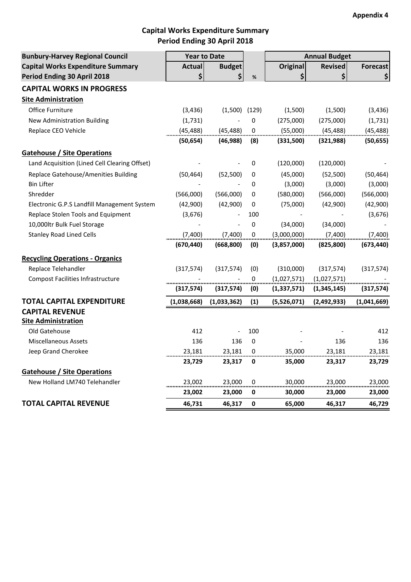# **Capital Works Expenditure Summary Period Ending 30 April 2018**

| <b>Bunbury-Harvey Regional Council</b>        | <b>Year to Date</b> |                   |             | <b>Annual Budget</b>     |                |                 |
|-----------------------------------------------|---------------------|-------------------|-------------|--------------------------|----------------|-----------------|
| <b>Capital Works Expenditure Summary</b>      | <b>Actual</b>       | <b>Budget</b>     |             | Original                 | <b>Revised</b> | <b>Forecast</b> |
| Period Ending 30 April 2018                   | \$                  | \$                | $\%$        | \$                       | \$             | \$              |
| <b>CAPITAL WORKS IN PROGRESS</b>              |                     |                   |             |                          |                |                 |
| <b>Site Administration</b>                    |                     |                   |             |                          |                |                 |
| Office Furniture                              | (3, 436)            | $(1,500)$ $(129)$ |             | (1,500)                  | (1,500)        | (3, 436)        |
| New Administration Building                   | (1,731)             |                   | 0           | (275,000)                | (275,000)      | (1,731)         |
| Replace CEO Vehicle                           | (45, 488)           | (45, 488)         | 0           | (55,000)                 | (45, 488)      | (45, 488)       |
|                                               | (50, 654)           | (46, 988)         | (8)         | (331,500)                | (321, 988)     | (50, 655)       |
| <b>Gatehouse / Site Operations</b>            |                     |                   |             |                          |                |                 |
| Land Acquisition (Lined Cell Clearing Offset) |                     |                   | 0           | (120,000)                | (120,000)      |                 |
| Replace Gatehouse/Amenities Building          | (50, 464)           | (52, 500)         | 0           | (45,000)                 | (52, 500)      | (50, 464)       |
| <b>Bin Lifter</b>                             |                     |                   | 0           | (3,000)                  | (3,000)        | (3,000)         |
| Shredder                                      | (566,000)           | (566,000)         | 0           | (580,000)                | (566,000)      | (566,000)       |
| Electronic G.P.S Landfill Management System   | (42,900)            | (42,900)          | 0           | (75,000)                 | (42,900)       | (42,900)        |
| Replace Stolen Tools and Equipment            | (3,676)             |                   | 100         | $\overline{\phantom{a}}$ |                | (3,676)         |
| 10,000ltr Bulk Fuel Storage                   |                     |                   | 0           | (34,000)                 | (34,000)       |                 |
| <b>Stanley Road Lined Cells</b>               | (7,400)             | (7,400)           | $\mathbf 0$ | (3,000,000)              | (7,400)        | (7,400)         |
|                                               | (670, 440)          | (668, 800)        | (0)         | (3,857,000)              | (825, 800)     | (673, 440)      |
| <b>Recycling Operations - Organics</b>        |                     |                   |             |                          |                |                 |
| Replace Telehandler                           | (317,574)           | (317, 574)        | (0)         | (310,000)                | (317, 574)     | (317, 574)      |
| <b>Compost Facilities Infrastructure</b>      |                     |                   | 0           | (1,027,571)              | (1,027,571)    |                 |
|                                               | (317,574)           | (317, 574)        | (0)         | (1,337,571)              | (1,345,145)    | (317, 574)      |
| <b>TOTAL CAPITAL EXPENDITURE</b>              | (1,038,668)         | (1,033,362)       | (1)         | (5,526,071)              | (2,492,933)    | (1,041,669)     |
| <b>CAPITAL REVENUE</b>                        |                     |                   |             |                          |                |                 |
| <b>Site Administration</b>                    |                     |                   |             |                          |                |                 |
| Old Gatehouse                                 | 412                 |                   | 100         |                          |                | 412             |
| <b>Miscellaneous Assets</b>                   | 136                 | 136               | $\mathbf 0$ |                          | 136            | 136             |
| Jeep Grand Cherokee                           | 23,181              | 23,181            | 0           | 35,000                   | 23,181         | 23,181          |
|                                               | 23,729              | 23,317            | 0           | 35,000                   | 23,317         | 23,729          |
| <b>Gatehouse / Site Operations</b>            |                     |                   |             |                          |                |                 |
| New Holland LM740 Telehandler                 | 23,002              | 23,000            | 0           | 30,000                   | 23,000         | 23,000          |
|                                               | 23,002              | 23,000            | 0           | 30,000                   | 23,000         | 23,000          |
| <b>TOTAL CAPITAL REVENUE</b>                  | 46,731              | 46,317            | 0           | 65,000                   | 46,317         | 46,729          |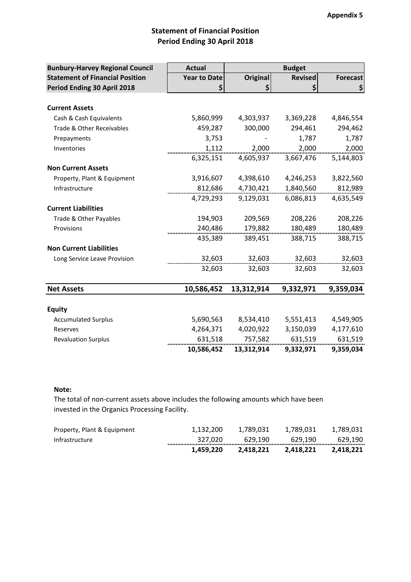# **Statement of Financial Position Period Ending 30 April 2018**

| <b>Bunbury-Harvey Regional Council</b> | <b>Actual</b>       | <b>Budget</b>   |                |                 |  |  |  |
|----------------------------------------|---------------------|-----------------|----------------|-----------------|--|--|--|
| <b>Statement of Financial Position</b> | <b>Year to Date</b> | <b>Original</b> | <b>Revised</b> | <b>Forecast</b> |  |  |  |
| Period Ending 30 April 2018            |                     |                 |                |                 |  |  |  |
|                                        |                     |                 |                |                 |  |  |  |
| <b>Current Assets</b>                  |                     |                 |                |                 |  |  |  |
| Cash & Cash Equivalents                | 5,860,999           | 4,303,937       | 3,369,228      | 4,846,554       |  |  |  |
| Trade & Other Receivables              | 459,287             | 300,000         | 294,461        | 294,462         |  |  |  |
| Prepayments                            | 3,753               |                 | 1,787          | 1,787           |  |  |  |
| Inventories                            | 1,112               | 2,000           | 2,000          | 2,000           |  |  |  |
|                                        | 6,325,151           | 4,605,937       | 3,667,476      | 5,144,803       |  |  |  |
| <b>Non Current Assets</b>              |                     |                 |                |                 |  |  |  |
| Property, Plant & Equipment            | 3,916,607           | 4,398,610       | 4,246,253      | 3,822,560       |  |  |  |
| Infrastructure                         | 812,686             | 4,730,421       | 1,840,560      | 812,989         |  |  |  |
|                                        | 4,729,293           | 9,129,031       | 6,086,813      | 4,635,549       |  |  |  |
| <b>Current Liabilities</b>             |                     |                 |                |                 |  |  |  |
| Trade & Other Payables                 | 194,903             | 209,569         | 208,226        | 208,226         |  |  |  |
| Provisions                             | 240,486             | 179,882         | 180,489        | 180,489         |  |  |  |
|                                        | 435,389             | 389,451         | 388,715        | 388,715         |  |  |  |
| <b>Non Current Liabilities</b>         |                     |                 |                |                 |  |  |  |
| Long Service Leave Provision           | 32,603              | 32,603          | 32,603         | 32,603          |  |  |  |
|                                        | 32,603              | 32,603          | 32,603         | 32,603          |  |  |  |
|                                        |                     |                 |                |                 |  |  |  |
| <b>Net Assets</b>                      | 10,586,452          | 13,312,914      | 9,332,971      | 9,359,034       |  |  |  |
|                                        |                     |                 |                |                 |  |  |  |
| <b>Equity</b>                          |                     |                 |                |                 |  |  |  |
| <b>Accumulated Surplus</b>             | 5,690,563           | 8,534,410       | 5,551,413      | 4,549,905       |  |  |  |
| Reserves                               | 4,264,371           | 4,020,922       | 3,150,039      | 4,177,610       |  |  |  |
| <b>Revaluation Surplus</b>             | 631,518             | 757,582         | 631,519        | 631,519         |  |  |  |
|                                        | 10,586,452          | 13,312,914      | 9,332,971      | 9,359,034       |  |  |  |

#### **Note:**

The total of non-current assets above includes the following amounts which have been invested in the Organics Processing Facility.

|                             | 1.459.220 | 2.418.221 | 2.418.221 | 2.418.221   |
|-----------------------------|-----------|-----------|-----------|-------------|
| Infrastructure              | 327.020   | 629.190   | 629.190   | 629.190<br> |
| Property, Plant & Equipment | 1.132.200 | 1.789.031 | 1.789.031 | 1.789.031   |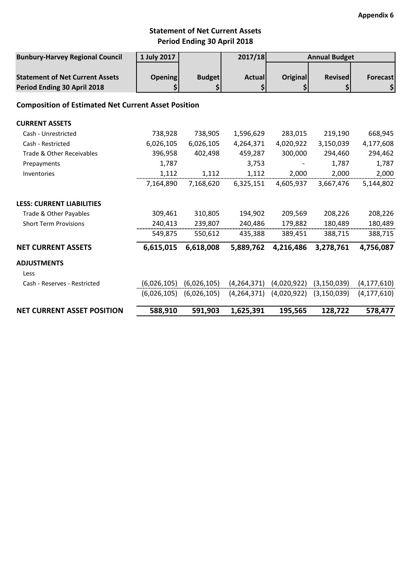# **Statement of Net Current Assets Period Ending 30 April 2018**

| <b>Bunbury-Harvey Regional Council</b>                                | 1 July 2017          |                             | 2017/18             |                                           | <b>Annual Budget</b>                                    |                                    |
|-----------------------------------------------------------------------|----------------------|-----------------------------|---------------------|-------------------------------------------|---------------------------------------------------------|------------------------------------|
| <b>Statement of Net Current Assets</b><br>Period Ending 30 April 2018 | <b>Opening</b><br>\$ | <b>Budget</b><br>\$         | <b>Actual</b><br>\$ | Original<br>\$                            | <b>Revised</b><br>\$                                    | Forecast<br>$\left  \right\rangle$ |
| <b>Composition of Estimated Net Current Asset Position</b>            |                      |                             |                     |                                           |                                                         |                                    |
| <b>CURRENT ASSETS</b>                                                 |                      |                             |                     |                                           |                                                         |                                    |
| Cash - Unrestricted                                                   | 738,928              | 738,905                     | 1,596,629           | 283,015                                   | 219,190                                                 | 668,945                            |
| Cash - Restricted                                                     | 6,026,105            | 6,026,105                   | 4,264,371           | 4,020,922                                 | 3,150,039                                               | 4,177,608                          |
| Trade & Other Receivables                                             | 396,958              | 402,498                     | 459,287             | 300,000                                   | 294,460                                                 | 294,462                            |
| Prepayments                                                           | 1,787                |                             | 3,753               |                                           | 1,787                                                   | 1,787                              |
| Inventories                                                           | 1,112                | 1,112                       | 1,112               | 2,000                                     | 2,000                                                   | 2,000                              |
|                                                                       | 7,164,890            | 7,168,620                   | 6,325,151           | 4,605,937                                 | 3,667,476                                               | 5,144,802                          |
| <b>LESS: CURRENT LIABILITIES</b>                                      |                      |                             |                     |                                           |                                                         |                                    |
| Trade & Other Payables                                                | 309,461              | 310,805                     | 194,902             | 209,569                                   | 208,226                                                 | 208,226                            |
| <b>Short Term Provisions</b>                                          | 240,413              | 239,807                     | 240,486             | 179,882                                   | 180,489                                                 | 180,489                            |
|                                                                       | 549,875              | 550,612                     | 435,388             | 389,451                                   | 388,715                                                 | 388,715                            |
| <b>NET CURRENT ASSETS</b>                                             | 6,615,015            | 6,618,008                   | 5,889,762           | 4,216,486                                 | 3,278,761                                               | 4,756,087                          |
| <b>ADJUSTMENTS</b><br>Less                                            |                      |                             |                     |                                           |                                                         |                                    |
| Cash - Reserves - Restricted                                          |                      | $(6,026,105)$ $(6,026,105)$ |                     |                                           | $(4,264,371)$ $(4,020,922)$ $(3,150,039)$ $(4,177,610)$ |                                    |
|                                                                       |                      | $(6,026,105)$ $(6,026,105)$ |                     | $(4,264,371)$ $(4,020,922)$ $(3,150,039)$ |                                                         | (4, 177, 610)                      |
|                                                                       |                      |                             |                     |                                           |                                                         |                                    |
| <b>NET CURRENT ASSET POSITION</b>                                     | 588,910              | 591,903                     | 1,625,391           | 195,565                                   | 128,722                                                 | 578,477                            |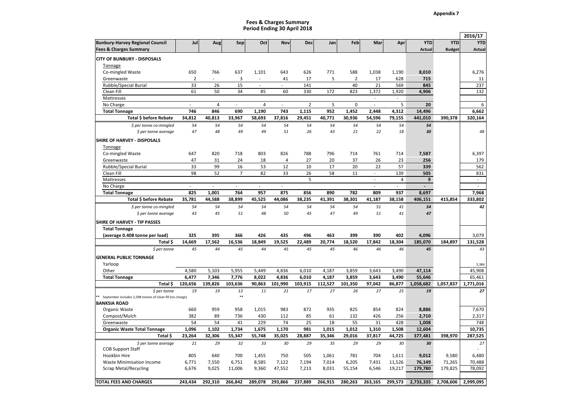**Appendix 7**

#### **Period Ending 30 April 2018Fees & Charges Summary**

|                                                           |                |                          |                |              |                |                |         |                |                          |                          |                |               | 2016/17        |
|-----------------------------------------------------------|----------------|--------------------------|----------------|--------------|----------------|----------------|---------|----------------|--------------------------|--------------------------|----------------|---------------|----------------|
| <b>Bunbury-Harvey Regional Council</b>                    | Jul            | Aug                      | Sep            | Oct          | Nov            | Dec            | Jan     | Feb            | Mar                      | Apr                      | <b>YTD</b>     | <b>YTD</b>    | <b>YTD</b>     |
| <b>Fees &amp; Charges Summary</b>                         |                |                          |                |              |                |                |         |                |                          |                          | <b>Actual</b>  | <b>Budget</b> | <b>Actual</b>  |
| <b>CITY OF BUNBURY - DISPOSALS</b>                        |                |                          |                |              |                |                |         |                |                          |                          |                |               |                |
| <b>Tonnage</b>                                            |                |                          |                |              |                |                |         |                |                          |                          |                |               |                |
| Co-mingled Waste                                          | 650            | 766                      | 637            | 1,101        | 643            | 626            | 771     | 588            | 1,038                    | 1,190                    | 8,010          |               | 6,276          |
| Greenwaste                                                | $\overline{2}$ | $\overline{\phantom{a}}$ | 3              | $\sim$       | 41             | 17             | 5       | $\overline{2}$ | 17                       | 628                      | 715            |               | 11             |
| Rubble/Special Burial                                     | 33             | 26                       | 15             | $\sim$       | L,             | 141            |         | 40             | 21                       | 569                      | 845            |               | 237            |
| Clean Fill                                                | 61             | 50                       | 34             | 85           | 60             | 330            | 172     | 823            | 1,372                    | 1,920                    | 4,906          |               | 132            |
| Mattresses                                                |                |                          |                |              |                |                |         |                | $\overline{\phantom{a}}$ | $\overline{\phantom{a}}$ |                |               |                |
| No Charge                                                 | $\overline{a}$ | $\sqrt{4}$               | ä,             | 4            | $\overline{a}$ | $\overline{2}$ | 5       | $\pmb{0}$      | $\overline{\phantom{a}}$ | 5                        | 20             |               | 6              |
| <b>Total Tonnage</b>                                      | 746            | 846                      | 690            | 1,190        | 743            | 1,115          | 952     | 1,452          | 2,448                    | 4,312                    | 14,496         |               | 6,662          |
| Total \$ before Rebate                                    | 34,812         | 40,813                   | 33,967         | 58,693       | 37,816         | 29,451         | 40,771  | 30,936         | 54,596                   | 79,155                   | 441,010        | 390,378       | 320,164        |
| \$ per tonne co-mingled                                   | 54             | 54                       | 54             | 54           | 54             | 54             | 54      | 54             | 54                       | 54                       | 54             |               |                |
| \$ per tonne average                                      | 47             | 48                       | 49             | 49           | 51             | 26             | 43      | 21             | 22                       | 18                       | 30             |               | 48             |
| SHIRE OF HARVEY - DISPOSALS                               |                |                          |                |              |                |                |         |                |                          |                          |                |               |                |
| Tonnage                                                   |                |                          |                |              |                |                |         |                |                          |                          |                |               |                |
| Co-mingled Waste                                          | 647            | 820                      | 718            | 803          | 826            | 788            | 796     | 714            | 761                      | 714                      | 7,587          |               | 6,397          |
| Greenwaste                                                | 47             | 31                       | 24             | 18           | 4              | 27             | 20      | 37             | 26                       | 23                       | 256            |               | 179            |
| Rubble/Special Burial                                     | 33             | 99                       | 16             | 53           | 12             | 10             | 17      | 20             | 22                       | 57                       | 339            |               | 562            |
| Clean Fill                                                | 98             | 52                       | $\overline{7}$ | 82           | 33             | 26             | 58      | 11             | $\overline{\phantom{a}}$ | 139                      | 505            |               | 831            |
| Mattresses                                                |                |                          |                |              |                | 5              |         |                |                          | 4                        | 9              |               | ÷.             |
| No Charge                                                 | $\sim$         | $\overline{a}$           | $\mathcal{L}$  | $\sim$       | $\overline{a}$ |                |         |                | $\overline{a}$           | ÷.                       | $\overline{a}$ |               | ÷.             |
| <b>Total Tonnage</b>                                      | 825            | 1,001                    | 764            | 957          | 875            | 856            | 890     | 782            | 809                      | 937                      | 8,697          |               | 7,968          |
| Total \$ before Rebate                                    | 35,781         | 44,588                   | 38,899         | 45,525       | 44,086         | 38,235         | 41,391  | 38,301         | 41,187                   | 38,158                   | 406,151        | 415,854       | 333,802        |
| $$$ per tonne co-mingled                                  | 54             | 54                       | 54             | 54           | 54             | 54             | 54      | 54             | 51                       | 41                       | 54             |               | 42             |
| \$ per tonne average                                      | 43             | 45                       | 51             | 48           | 50             | 45             | 47      | 49             | 51                       | 41                       | 47             |               |                |
|                                                           |                |                          |                |              |                |                |         |                |                          |                          |                |               |                |
| SHIRE OF HARVEY - TIP PASSES                              |                |                          |                |              |                |                |         |                |                          |                          |                |               |                |
| <b>Total Tonnage</b>                                      | 325            | 395                      | 366            | 426          | 435            | 496            | 463     | 399            | 390                      | 402                      | 4,096          |               | 3,079          |
| (average 0.408 tonne per load)<br>Total \$                | 14,669         | 17,562                   | 16,536         | 18,849       | 19,525         | 22.489         | 20.774  | 18,520         | 17.842                   | 18,304                   | 185,070        | 184,897       | 131,528        |
|                                                           |                | 44                       |                | 44           |                |                |         |                |                          |                          |                |               |                |
| \$ per tonne                                              | 45             |                          | 45             |              | 45             | 45             | 45      | 46             | 46                       | 46                       | 45             |               | 43             |
| <b>GENERAL PUBLIC TONNAGE</b>                             |                |                          |                |              |                |                |         |                |                          |                          |                |               |                |
| Yarloop                                                   |                |                          |                |              |                |                |         |                |                          |                          |                |               | 5,384          |
| Other                                                     | 4,580          | 5,103                    | 5,955          | 5,449        | 4,836          | 6,010          | 4,187   | 3,859          | 3,643                    | 3,490                    | 47,114         |               | 45,908         |
| <b>Total Tonnage</b>                                      | 6,477          | 7,346                    | 7,776          | 8,022        | 4,836          | 6,010          | 4,187   | 3,859          | 3,643                    | 3,490                    | 55,646         |               | 65,461         |
| Total \$                                                  | 120,656        | 139,826                  | 103,636        | 90,863       | 101,990        | 103,915        | 112,527 | 101,350        | 97,042                   | 86,877                   | 1,058,682      | 1,057,837     | 1,771,016      |
| $$$ per tonne                                             | 19             | 19                       | 13<br>**       | 11           | 21             | 17             | 27      | 26             | 27                       | 25                       | 19             |               | 27             |
| September includes 1,598 tonnes of clean fill (no charge) |                |                          |                |              |                |                |         |                |                          |                          |                |               |                |
| <b>BANKSIA ROAD</b>                                       |                | 959                      | 958            |              |                | 872            | 935     | 825            |                          |                          | 8,886          |               |                |
| Organic Waste<br>Compost/Mulch                            | 660<br>382     | 89                       | 736            | 1,015<br>430 | 983<br>112     | 85             | 61      | 132            | 854<br>426               | 824<br>256               | 2,710          |               | 7,670<br>2,317 |
| Greenwaste                                                | 54             | 54                       | 41             | 229          | 74             | 25             | 18      | 55             | 31                       | 428                      | 1,008          |               | 748            |
| <b>Organic Waste Total Tonnage</b>                        | 1,096          | 1,102                    | 1,734          | 1,675        | 1,170          | 981            | 1,015   | 1,012          | 1,310                    | 1,508                    | 12,604         |               | 10,735         |
| Total \$                                                  | 23,264         | 32,306                   | 55,347         | 55,748       | 35,025         | 28,887         | 35,346  | 29,016         | 37,817                   | 44,725                   | 377,481        | 398,970       | 287,525        |
|                                                           |                |                          | 32             | 33           |                |                |         | 29             | 29                       |                          |                |               | 27             |
| \$ per tonne average<br><b>COB Support Staff</b>          | 21             | 29                       |                |              | 30             | 29             | 35      |                |                          | 30                       | 30             |               |                |
| Hookbin Hire                                              | 805            | 640                      | 700            | 1,455        | 750            | 505            | 1,061   | 781            | 704                      | 1,611                    | 9,012          | 9,580         | 6.480          |
| <b>Waste Minimisation Income</b>                          | 6,771          | 7,550                    | 6,751          | 8,585        | 7,122          | 7,194          | 7,014   | 6,205          | 7,431                    | 11,526                   | 76,149         | 71,265        | 70,488         |
| <b>Scrap Metal/Recycling</b>                              | 6,676          | 9,025                    | 11,006         | 9,360        | 47,552         | 7,213          | 8,031   | 55,154         | 6,546                    | 19,217                   | 179,780        | 179,825       | 78,092         |
|                                                           |                |                          |                |              |                |                |         |                |                          |                          |                |               |                |
| <b>TOTAL FEES AND CHARGES</b>                             | 243,434        | 292,310                  | 266,842        | 289,078      | 293,866        | 237,889        | 266,915 | 280,263        | 263,165                  | 299,573                  | 2,733,335      | 2,708,606     | 2,999,095      |